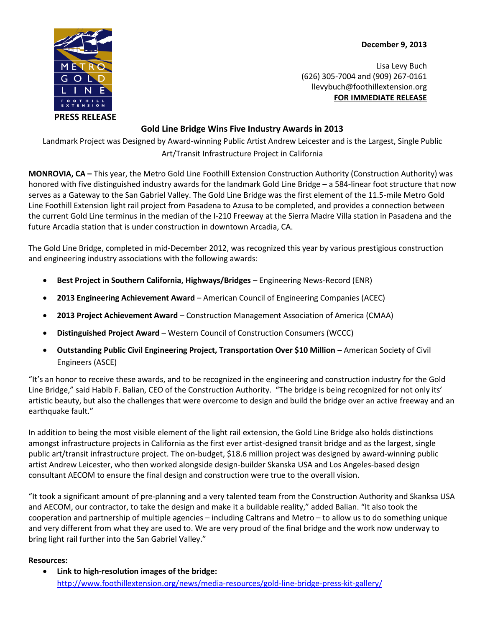**December 9, 2013**



Lisa Levy Buch (626) 305-7004 and (909) 267-0161 llevybuch@foothillextension.org **FOR IMMEDIATE RELEASE**

## **Gold Line Bridge Wins Five Industry Awards in 2013**

Landmark Project was Designed by Award-winning Public Artist Andrew Leicester and is the Largest, Single Public Art/Transit Infrastructure Project in California

**MONROVIA, CA –** This year, the Metro Gold Line Foothill Extension Construction Authority (Construction Authority) was honored with five distinguished industry awards for the landmark Gold Line Bridge – a 584-linear foot structure that now serves as a Gateway to the San Gabriel Valley. The Gold Line Bridge was the first element of the 11.5-mile Metro Gold Line Foothill Extension light rail project from Pasadena to Azusa to be completed, and provides a connection between the current Gold Line terminus in the median of the I-210 Freeway at the Sierra Madre Villa station in Pasadena and the future Arcadia station that is under construction in downtown Arcadia, CA.

The Gold Line Bridge, completed in mid-December 2012, was recognized this year by various prestigious construction and engineering industry associations with the following awards:

- **Best Project in Southern California, Highways/Bridges** Engineering News-Record (ENR)
- **2013 Engineering Achievement Award** American Council of Engineering Companies (ACEC)
- **2013 Project Achievement Award** Construction Management Association of America (CMAA)
- **Distinguished Project Award** Western Council of Construction Consumers (WCCC)
- **Outstanding Public Civil Engineering Project, Transportation Over \$10 Million** American Society of Civil Engineers (ASCE)

"It's an honor to receive these awards, and to be recognized in the engineering and construction industry for the Gold Line Bridge," said Habib F. Balian, CEO of the Construction Authority. "The bridge is being recognized for not only its' artistic beauty, but also the challenges that were overcome to design and build the bridge over an active freeway and an earthquake fault."

In addition to being the most visible element of the light rail extension, the Gold Line Bridge also holds distinctions amongst infrastructure projects in California as the first ever artist-designed transit bridge and as the largest, single public art/transit infrastructure project. The on-budget, \$18.6 million project was designed by award-winning public artist Andrew Leicester, who then worked alongside design-builder Skanska USA and Los Angeles-based design consultant AECOM to ensure the final design and construction were true to the overall vision.

"It took a significant amount of pre-planning and a very talented team from the Construction Authority and Skanksa USA and AECOM, our contractor, to take the design and make it a buildable reality," added Balian. "It also took the cooperation and partnership of multiple agencies – including Caltrans and Metro – to allow us to do something unique and very different from what they are used to. We are very proud of the final bridge and the work now underway to bring light rail further into the San Gabriel Valley."

## **Resources:**

 **Link to high-resolution images of the bridge:** <http://www.foothillextension.org/news/media-resources/gold-line-bridge-press-kit-gallery/>